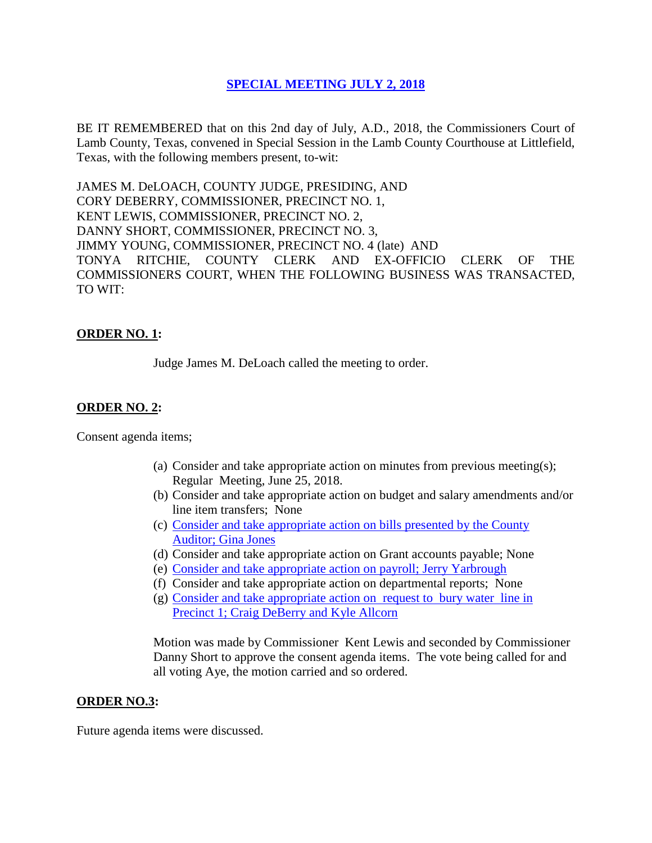## **SPECIAL [MEETING JULY](Links%202018-07-02-Special/01%20AGENDA%20SPECIAL%20MEETING%20JULY%202,%202018.pdf) 2, 2018**

BE IT REMEMBERED that on this 2nd day of July, A.D., 2018, the Commissioners Court of Lamb County, Texas, convened in Special Session in the Lamb County Courthouse at Littlefield, Texas, with the following members present, to-wit:

JAMES M. DeLOACH, COUNTY JUDGE, PRESIDING, AND CORY DEBERRY, COMMISSIONER, PRECINCT NO. 1, KENT LEWIS, COMMISSIONER, PRECINCT NO. 2, DANNY SHORT, COMMISSIONER, PRECINCT NO. 3, JIMMY YOUNG, COMMISSIONER, PRECINCT NO. 4 (late) AND TONYA RITCHIE, COUNTY CLERK AND EX-OFFICIO CLERK OF THE COMMISSIONERS COURT, WHEN THE FOLLOWING BUSINESS WAS TRANSACTED, TO WIT:

# **ORDER NO. 1:**

Judge James M. DeLoach called the meeting to order.

# **ORDER NO. 2:**

Consent agenda items;

- (a) Consider and take appropriate action on minutes from previous meeting(s); Regular Meeting, June 25, 2018.
- (b) Consider and take appropriate action on budget and salary amendments and/or line item transfers; None
- (c) [Consider and take appropriate action on bills presented by the County](Links%202018-07-02-Special/03%20ACCOUNTS%20PAYABLE%20SPECIAL%20MEETING%20JULY%202,%202018.pdf)  Auditor; [Gina Jones](Links%202018-07-02-Special/03%20ACCOUNTS%20PAYABLE%20SPECIAL%20MEETING%20JULY%202,%202018.pdf)
- (d) Consider and take appropriate action on Grant accounts payable; None
- (e) [Consider and take appropriate action on payroll;](Links%202018-07-02-Special/04%20PAYROLL%20PAYABLES%20SPECIAL%20MEETING%20JULY%202,%202018.pdf) Jerry Yarbrough
- (f) Consider and take appropriate action on departmental reports; None
- (g) [Consider and take appropriate action on](Links%202018-07-02-Special/05%20REQUEST%20TO%20BURY%20WATER%20LINE%20IN%20PRECINCT%201%20SPECIAL%20MEETING%20JULY%202,%202018.pdf) request to bury water line in [Precinct 1; Craig DeBerry and Kyle Allcorn](Links%202018-07-02-Special/05%20REQUEST%20TO%20BURY%20WATER%20LINE%20IN%20PRECINCT%201%20SPECIAL%20MEETING%20JULY%202,%202018.pdf)

Motion was made by Commissioner Kent Lewis and seconded by Commissioner Danny Short to approve the consent agenda items. The vote being called for and all voting Aye, the motion carried and so ordered.

#### **ORDER NO.3:**

Future agenda items were discussed.